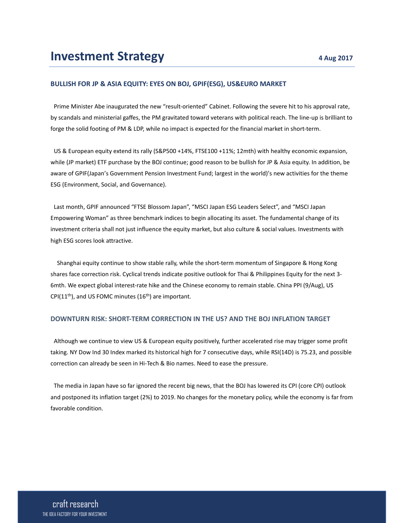### **BULLISH FOR JP & ASIA EQUITY: EYES ON BOJ, GPIF(ESG), US&EURO MARKET**

 Prime Minister Abe inaugurated the new "result‐oriented" Cabinet. Following the severe hit to his approval rate, by scandals and ministerial gaffes, the PM gravitated toward veterans with political reach. The line‐up is brilliant to forge the solid footing of PM & LDP, while no impact is expected for the financial market in short-term.

 US & European equity extend its rally (S&P500 +14%, FTSE100 +11%; 12mth) with healthy economic expansion, while (JP market) ETF purchase by the BOJ continue; good reason to be bullish for JP & Asia equity. In addition, be aware of GPIF(Japan's Government Pension Investment Fund; largest in the world)'s new activities for the theme ESG (Environment, Social, and Governance).

 Last month, GPIF announced "FTSE Blossom Japan", "MSCI Japan ESG Leaders Select", and "MSCI Japan Empowering Woman" as three benchmark indices to begin allocating its asset. The fundamental change of its investment criteria shall not just influence the equity market, but also culture & social values. Investments with high ESG scores look attractive.

Shanghai equity continue to show stable rally, while the short‐term momentum of Singapore & Hong Kong shares face correction risk. Cyclical trends indicate positive outlook for Thai & Philippines Equity for the next 3‐ 6mth. We expect global interest-rate hike and the Chinese economy to remain stable. China PPI (9/Aug), US CPI(11<sup>th</sup>), and US FOMC minutes (16<sup>th</sup>) are important.

#### **DOWNTURN RISK: SHORT‐TERM CORRECTION IN THE US? AND THE BOJ INFLATION TARGET**

 Although we continue to view US & European equity positively, further accelerated rise may trigger some profit taking. NY Dow Ind 30 Index marked its historical high for 7 consecutive days, while RSI(14D) is 75.23, and possible correction can already be seen in Hi‐Tech & Bio names. Need to ease the pressure.

 The media in Japan have so far ignored the recent big news, that the BOJ has lowered its CPI (core CPI) outlook and postponed its inflation target (2%) to 2019. No changes for the monetary policy, while the economy is far from favorable condition.